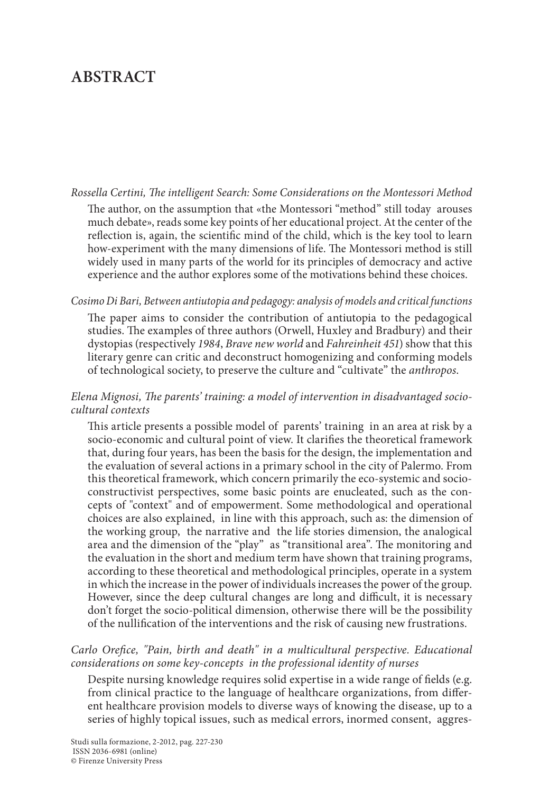# **ABSTRACT**

#### *Rossella Certini, The intelligent Search: Some Considerations on the Montessori Method*

The author, on the assumption that «the Montessori "method" still today arouses much debate», reads some key points of her educational project. At the center of the reflection is, again, the scientific mind of the child, which is the key tool to learn how-experiment with the many dimensions of life. The Montessori method is still widely used in many parts of the world for its principles of democracy and active experience and the author explores some of the motivations behind these choices.

#### *Cosimo Di Bari, Between antiutopia and pedagogy: analysis of models and critical functions*

The paper aims to consider the contribution of antiutopia to the pedagogical studies. The examples of three authors (Orwell, Huxley and Bradbury) and their dystopias (respectively *1984*, *Brave new world* and *Fahreinheit 451*) show that this literary genre can critic and deconstruct homogenizing and conforming models of technological society, to preserve the culture and "cultivate" the *anthropos*.

## *Elena Mignosi, The parents' training: a model of intervention in disadvantaged sociocultural contexts*

This article presents a possible model of parents' training in an area at risk by a socio-economic and cultural point of view. It clarifies the theoretical framework that, during four years, has been the basis for the design, the implementation and the evaluation of several actions in a primary school in the city of Palermo. From this theoretical framework, which concern primarily the eco-systemic and socioconstructivist perspectives, some basic points are enucleated, such as the concepts of "context" and of empowerment. Some methodological and operational choices are also explained, in line with this approach, such as: the dimension of the working group, the narrative and the life stories dimension, the analogical area and the dimension of the "play" as "transitional area". The monitoring and the evaluation in the short and medium term have shown that training programs, according to these theoretical and methodological principles, operate in a system in which the increase in the power of individuals increases the power of the group. However, since the deep cultural changes are long and difficult, it is necessary don't forget the socio-political dimension, otherwise there will be the possibility of the nullification of the interventions and the risk of causing new frustrations.

## *Carlo Orefice, "Pain, birth and death" in a multicultural perspective. Educational considerations on some key-concepts in the professional identity of nurses*

Despite nursing knowledge requires solid expertise in a wide range of fields (e.g. from clinical practice to the language of healthcare organizations, from different healthcare provision models to diverse ways of knowing the disease, up to a series of highly topical issues, such as medical errors, inormed consent, aggres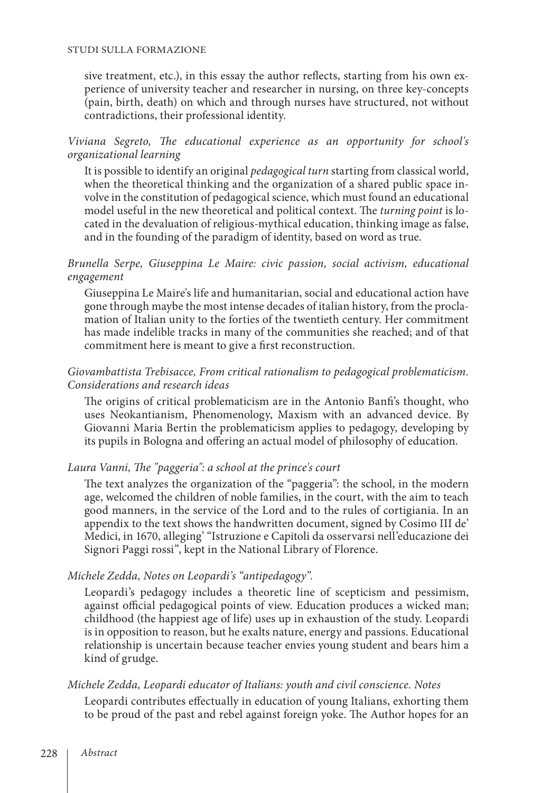sive treatment, etc.), in this essay the author reflects, starting from his own experience of university teacher and researcher in nursing, on three key-concepts (pain, birth, death) on which and through nurses have structured, not without contradictions, their professional identity.

*Viviana Segreto, The educational experience as an opportunity for school's organizational learning*

It is possible to identify an original *pedagogical turn* starting from classical world, when the theoretical thinking and the organization of a shared public space involve in the constitution of pedagogical science, which must found an educational model useful in the new theoretical and political context. The *turning point* is located in the devaluation of religious-mythical education, thinking image as false, and in the founding of the paradigm of identity, based on word as true.

# *Brunella Serpe, Giuseppina Le Maire: civic passion, social activism, educational engagement*

Giuseppina Le Maire's life and humanitarian, social and educational action have gone through maybe the most intense decades of italian history, from the proclamation of Italian unity to the forties of the twentieth century. Her commitment has made indelible tracks in many of the communities she reached; and of that commitment here is meant to give a first reconstruction.

# *Giovambattista Trebisacce, From critical rationalism to pedagogical problematicism. Considerations and research ideas*

The origins of critical problematicism are in the Antonio Banfi's thought, who uses Neokantianism, Phenomenology, Maxism with an advanced device. By Giovanni Maria Bertin the problematicism applies to pedagogy, developing by its pupils in Bologna and offering an actual model of philosophy of education.

# *Laura Vanni, The "paggeria": a school at the prince's court*

The text analyzes the organization of the "paggeria": the school, in the modern age, welcomed the children of noble families, in the court, with the aim to teach good manners, in the service of the Lord and to the rules of cortigiania. In an appendix to the text shows the handwritten document, signed by Cosimo III de' Medici, in 1670, alleging' "Istruzione e Capitoli da osservarsi nell'educazione dei Signori Paggi rossi", kept in the National Library of Florence.

# *Michele Zedda, Notes on Leopardi's "antipedagogy".*

Leopardi's pedagogy includes a theoretic line of scepticism and pessimism, against official pedagogical points of view. Education produces a wicked man; childhood (the happiest age of life) uses up in exhaustion of the study. Leopardi is in opposition to reason, but he exalts nature, energy and passions. Educational relationship is uncertain because teacher envies young student and bears him a kind of grudge.

#### *Michele Zedda, Leopardi educator of Italians: youth and civil conscience. Notes*

Leopardi contributes effectually in education of young Italians, exhorting them to be proud of the past and rebel against foreign yoke. The Author hopes for an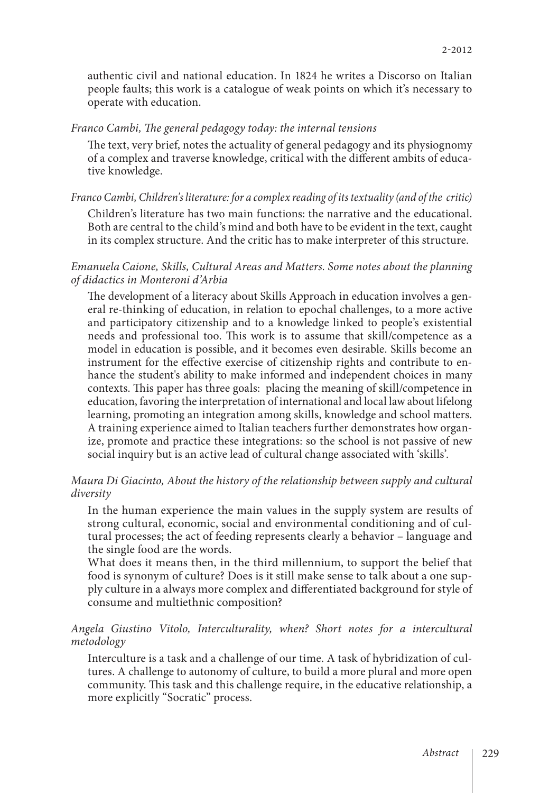authentic civil and national education. In 1824 he writes a Discorso on Italian people faults; this work is a catalogue of weak points on which it's necessary to operate with education.

*Franco Cambi, The general pedagogy today: the internal tensions*

The text, very brief, notes the actuality of general pedagogy and its physiognomy of a complex and traverse knowledge, critical with the different ambits of educative knowledge.

*Franco Cambi, Children's literature: for a complex reading of its textuality (and of the critic)* Children's literature has two main functions: the narrative and the educational. Both are central to the child's mind and both have to be evident in the text, caught in its complex structure. And the critic has to make interpreter of this structure.

*Emanuela Caione, Skills, Cultural Areas and Matters. Some notes about the planning of didactics in Monteroni d'Arbia*

The development of a literacy about Skills Approach in education involves a general re-thinking of education, in relation to epochal challenges, to a more active and participatory citizenship and to a knowledge linked to people's existential needs and professional too. This work is to assume that skill/competence as a model in education is possible, and it becomes even desirable. Skills become an instrument for the effective exercise of citizenship rights and contribute to enhance the student's ability to make informed and independent choices in many contexts. This paper has three goals: placing the meaning of skill/competence in education, favoring the interpretation of international and local law about lifelong learning, promoting an integration among skills, knowledge and school matters. A training experience aimed to Italian teachers further demonstrates how organize, promote and practice these integrations: so the school is not passive of new social inquiry but is an active lead of cultural change associated with 'skills'.

#### *Maura Di Giacinto, About the history of the relationship between supply and cultural diversity*

In the human experience the main values in the supply system are results of strong cultural, economic, social and environmental conditioning and of cultural processes; the act of feeding represents clearly a behavior – language and the single food are the words.

What does it means then, in the third millennium, to support the belief that food is synonym of culture? Does is it still make sense to talk about a one supply culture in a always more complex and differentiated background for style of consume and multiethnic composition?

*Angela Giustino Vitolo, Interculturality, when? Short notes for a intercultural metodology*

Interculture is a task and a challenge of our time. A task of hybridization of cultures. A challenge to autonomy of culture, to build a more plural and more open community. This task and this challenge require, in the educative relationship, a more explicitly "Socratic" process.